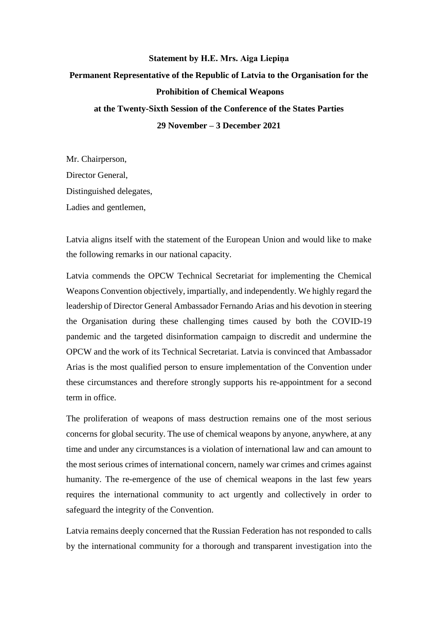## **Statement by H.E. Mrs. Aiga Liepiņa Permanent Representative of the Republic of Latvia to the Organisation for the Prohibition of Chemical Weapons at the Twenty-Sixth Session of the Conference of the States Parties 29 November – 3 December 2021**

Mr. Chairperson, Director General, Distinguished delegates, Ladies and gentlemen,

Latvia aligns itself with the statement of the European Union and would like to make the following remarks in our national capacity.

Latvia commends the OPCW Technical Secretariat for implementing the Chemical Weapons Convention objectively, impartially, and independently. We highly regard the leadership of Director General Ambassador Fernando Arias and his devotion in steering the Organisation during these challenging times caused by both the COVID-19 pandemic and the targeted disinformation campaign to discredit and undermine the OPCW and the work of its Technical Secretariat. Latvia is convinced that Ambassador Arias is the most qualified person to ensure implementation of the Convention under these circumstances and therefore strongly supports his re-appointment for a second term in office.

The proliferation of weapons of mass destruction remains one of the most serious concerns for global security. The use of chemical weapons by anyone, anywhere, at any time and under any circumstances is a violation of international law and can amount to the most serious crimes of international concern, namely war crimes and crimes against humanity. The re-emergence of the use of chemical weapons in the last few years requires the international community to act urgently and collectively in order to safeguard the integrity of the Convention.

Latvia remains deeply concerned that the Russian Federation has not responded to calls by the international community for a thorough and transparent investigation into the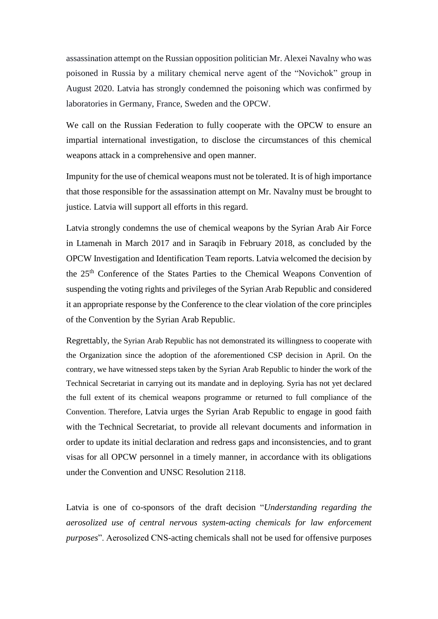assassination attempt on the Russian opposition politician Mr. Alexei Navalny who was poisoned in Russia by a military chemical nerve agent of the "Novichok" group in August 2020. Latvia has strongly condemned the poisoning which was confirmed by laboratories in Germany, France, Sweden and the OPCW.

We call on the Russian Federation to fully cooperate with the OPCW to ensure an impartial international investigation, to disclose the circumstances of this chemical weapons attack in a comprehensive and open manner.

Impunity for the use of chemical weapons must not be tolerated. It is of high importance that those responsible for the assassination attempt on Mr. Navalny must be brought to justice. Latvia will support all efforts in this regard.

Latvia strongly condemns the use of chemical weapons by the Syrian Arab Air Force in Ltamenah in March 2017 and in Saraqib in February 2018, as concluded by the OPCW Investigation and Identification Team reports. Latvia welcomed the decision by the 25th Conference of the States Parties to the Chemical Weapons Convention of suspending the voting rights and privileges of the Syrian Arab Republic and considered it an appropriate response by the Conference to the clear violation of the core principles of the Convention by the Syrian Arab Republic.

Regrettably, the Syrian Arab Republic has not demonstrated its willingness to cooperate with the Organization since the adoption of the aforementioned CSP decision in April. On the contrary, we have witnessed steps taken by the Syrian Arab Republic to hinder the work of the Technical Secretariat in carrying out its mandate and in deploying. Syria has not yet declared the full extent of its chemical weapons programme or returned to full compliance of the Convention. Therefore, Latvia urges the Syrian Arab Republic to engage in good faith with the Technical Secretariat, to provide all relevant documents and information in order to update its initial declaration and redress gaps and inconsistencies, and to grant visas for all OPCW personnel in a timely manner, in accordance with its obligations under the Convention and UNSC Resolution 2118.

Latvia is one of co-sponsors of the draft decision "*Understanding regarding the aerosolized use of central nervous system-acting chemicals for law enforcement purposes*". Aerosolized CNS-acting chemicals shall not be used for offensive purposes